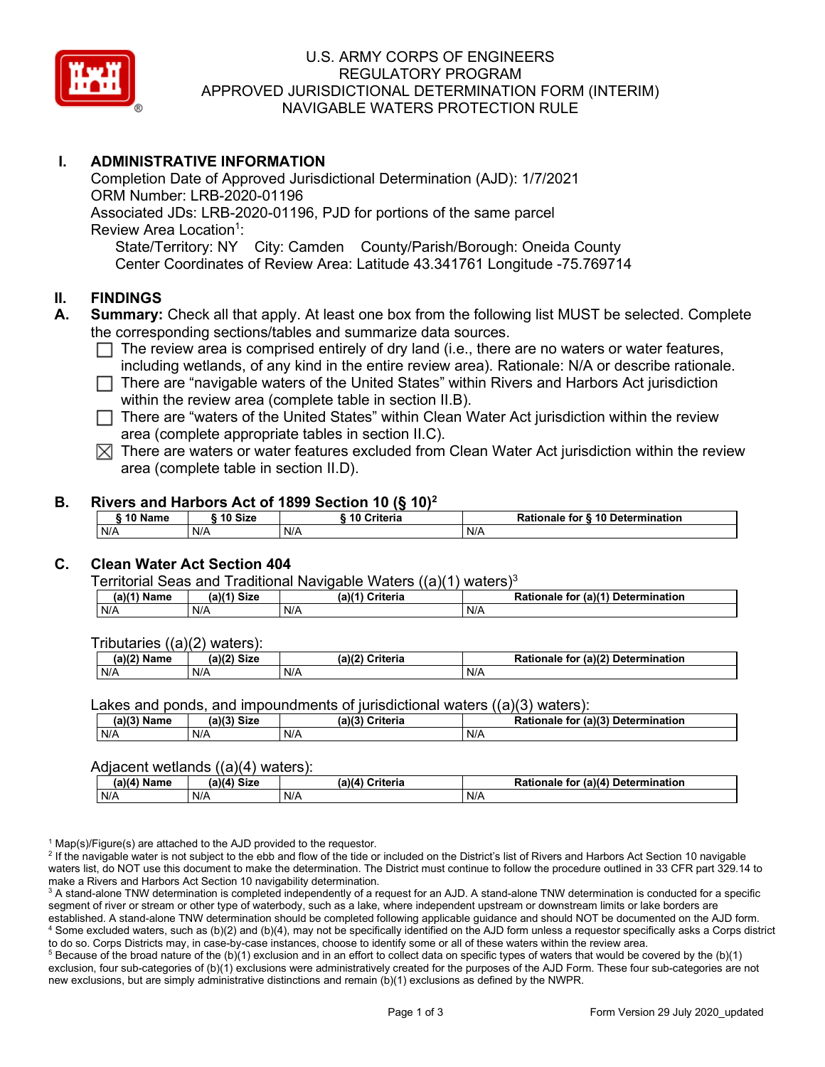

## U.S. ARMY CORPS OF ENGINEERS REGULATORY PROGRAM APPROVED JURISDICTIONAL DETERMINATION FORM (INTERIM) NAVIGABLE WATERS PROTECTION RULE

## **I. ADMINISTRATIVE INFORMATION**

Completion Date of Approved Jurisdictional Determination (AJD): 1/7/2021 ORM Number: LRB-2020-01196 Associated JDs: LRB-2020-01196, PJD for portions of the same parcel Review Area Location<sup>1</sup>: State/Territory: NY City: Camden County/Parish/Borough: Oneida County Center Coordinates of Review Area: Latitude 43.341761 Longitude -75.769714

#### **II. FINDINGS**

- **A. Summary:** Check all that apply. At least one box from the following list MUST be selected. Complete the corresponding sections/tables and summarize data sources.
	- $\Box$  The review area is comprised entirely of dry land (i.e., there are no waters or water features, including wetlands, of any kind in the entire review area). Rationale: N/A or describe rationale.
	- $\Box$  There are "navigable waters of the United States" within Rivers and Harbors Act jurisdiction within the review area (complete table in section II.B).
	- $\Box$  There are "waters of the United States" within Clean Water Act jurisdiction within the review area (complete appropriate tables in section II.C).
	- $\boxtimes$  There are waters or water features excluded from Clean Water Act jurisdiction within the review area (complete table in section II.D).

#### **B. Rivers and Harbors Act of 1899 Section 10 (§ 10)2**

| $\hat{}$ 10 Name | ົ <sup>1</sup> 0 Size | ---<br>10 Criteria | Rationale for § 10 Determination |
|------------------|-----------------------|--------------------|----------------------------------|
| N/A              | N/A                   | N/A                | N/A                              |

## **C. Clean Water Act Section 404**

Territorial Seas and Traditional Navigable Waters  $((a)(1)$  waters)<sup>3</sup>

| $(a)(1)$ .<br>Name | $(a)$ $(4)$<br>Size | (a)<br>Criteria | (a)(1) Determination<br>Rationale<br>for |
|--------------------|---------------------|-----------------|------------------------------------------|
| N/A                | N/A                 | N/A             | N/A                                      |

Tributaries ((a)(2) waters):

| н   | $\sim$<br>$\sim$ Cime<br>JILE | 21/2<br><br>пе | (2)<br><b>Determination</b><br>TOI<br>naie |
|-----|-------------------------------|----------------|--------------------------------------------|
| N/A | N/A                           | N/A            | N/A                                        |

Lakes and ponds, and impoundments of jurisdictional waters ((a)(3) waters):

| (a)(3) Name | (a)(3)<br>Siz، | (a)(2)<br>Criteria | .r (a)( <sup>م</sup> ر<br><b>Rationale</b><br><b>Determination</b><br>tor |
|-------------|----------------|--------------------|---------------------------------------------------------------------------|
| N/A         | N/A            | N/A                | N/A                                                                       |

#### Adjacent wetlands  $((a)(4)$  waters):

|               | .<br>.     |                 |                                              |  |  |  |  |  |
|---------------|------------|-----------------|----------------------------------------------|--|--|--|--|--|
| $(a)(4)$ Name | ำ)(4) Size | (a)(4) Criteria | Rationale for (a)(4)<br><b>Determination</b> |  |  |  |  |  |
| N/A           | N/A        | N/A             | N/A                                          |  |  |  |  |  |

 $1$  Map(s)/Figure(s) are attached to the AJD provided to the requestor.

<sup>2</sup> If the navigable water is not subject to the ebb and flow of the tide or included on the District's list of Rivers and Harbors Act Section 10 navigable waters list, do NOT use this document to make the determination. The District must continue to follow the procedure outlined in 33 CFR part 329.14 to make a Rivers and Harbors Act Section 10 navigability determination.

<sup>3</sup> A stand-alone TNW determination is completed independently of a request for an AJD. A stand-alone TNW determination is conducted for a specific segment of river or stream or other type of waterbody, such as a lake, where independent upstream or downstream limits or lake borders are established. A stand-alone TNW determination should be completed following applicable guidance and should NOT be documented on the AJD form. <sup>4</sup> Some excluded waters, such as (b)(2) and (b)(4), may not be specifically identified on the AJD form unless a requestor specifically asks a Corps district to do so. Corps Districts may, in case-by-case instances, choose to identify some or all of these waters within the review area.

 $5$  Because of the broad nature of the (b)(1) exclusion and in an effort to collect data on specific types of waters that would be covered by the (b)(1) exclusion, four sub-categories of (b)(1) exclusions were administratively created for the purposes of the AJD Form. These four sub-categories are not new exclusions, but are simply administrative distinctions and remain (b)(1) exclusions as defined by the NWPR.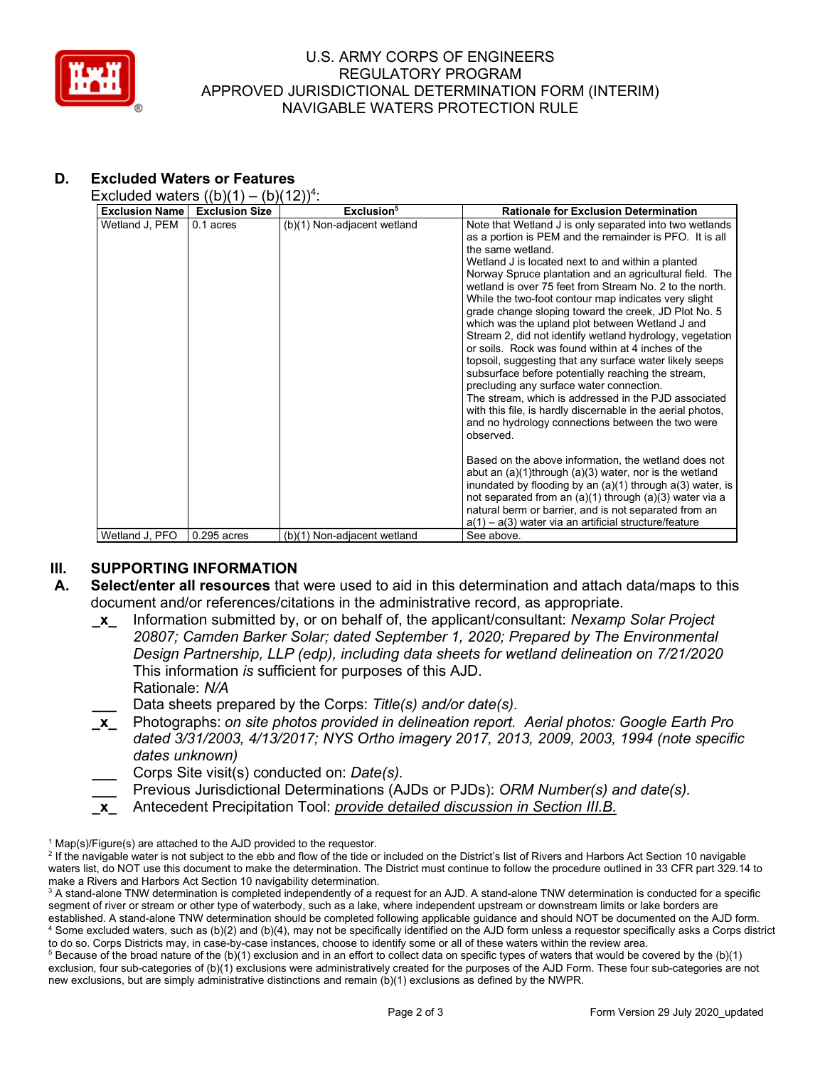

## U.S. ARMY CORPS OF ENGINEERS REGULATORY PROGRAM APPROVED JURISDICTIONAL DETERMINATION FORM (INTERIM) NAVIGABLE WATERS PROTECTION RULE

## **D. Excluded Waters or Features**

Excluded waters  $((b)(1) - (b)(12))^4$ :

| <b>Exclusion Name</b> | <b>Exclusion Size</b> | Exclusion <sup>5</sup>      | <b>Rationale for Exclusion Determination</b>                                                                                                                                                                                                                                                                                                                                                                                                                                                                                                                                                                                                                                                                                                                                                                                                                                                      |  |  |  |
|-----------------------|-----------------------|-----------------------------|---------------------------------------------------------------------------------------------------------------------------------------------------------------------------------------------------------------------------------------------------------------------------------------------------------------------------------------------------------------------------------------------------------------------------------------------------------------------------------------------------------------------------------------------------------------------------------------------------------------------------------------------------------------------------------------------------------------------------------------------------------------------------------------------------------------------------------------------------------------------------------------------------|--|--|--|
| Wetland J, PEM        |                       |                             | as a portion is PEM and the remainder is PFO. It is all<br>the same wetland<br>Wetland J is located next to and within a planted<br>Norway Spruce plantation and an agricultural field. The<br>wetland is over 75 feet from Stream No. 2 to the north.<br>While the two-foot contour map indicates very slight<br>grade change sloping toward the creek, JD Plot No. 5<br>which was the upland plot between Wetland J and<br>Stream 2, did not identify wetland hydrology, vegetation<br>or soils. Rock was found within at 4 inches of the<br>topsoil, suggesting that any surface water likely seeps<br>subsurface before potentially reaching the stream,<br>precluding any surface water connection.<br>The stream, which is addressed in the PJD associated<br>with this file, is hardly discernable in the aerial photos,<br>and no hydrology connections between the two were<br>observed. |  |  |  |
|                       |                       |                             | Based on the above information, the wetland does not<br>abut an $(a)(1)$ through $(a)(3)$ water, nor is the wetland<br>inundated by flooding by an $(a)(1)$ through $a(3)$ water, is<br>not separated from an (a)(1) through (a)(3) water via a<br>natural berm or barrier, and is not separated from an<br>$a(1) - a(3)$ water via an artificial structure/feature                                                                                                                                                                                                                                                                                                                                                                                                                                                                                                                               |  |  |  |
| Wetland J, PFO        | $0.295$ acres         | (b)(1) Non-adjacent wetland | See above.                                                                                                                                                                                                                                                                                                                                                                                                                                                                                                                                                                                                                                                                                                                                                                                                                                                                                        |  |  |  |

# **III.** SUPPORTING INFORMATION<br>**A.** Select/enter all resources that

- **A. Select/enter all resources** that were used to aid in this determination and attach data/maps to this document and/or references/citations in the administrative record, as appropriate.
	- **\_x\_** Information submitted by, or on behalf of, the applicant/consultant: *Nexamp Solar Project 20807; Camden Barker Solar; dated September 1, 2020; Prepared by The Environmental Design Partnership, LLP (edp), including data sheets for wetland delineation on 7/21/2020* This information *is* sufficient for purposes of this AJD. Rationale: *N/A*
		- **\_\_\_** Data sheets prepared by the Corps: *Title(s) and/or date(s).*
	- **\_x\_** Photographs: *on site photos provided in delineation report. Aerial photos: Google Earth Pro dated 3/31/2003, 4/13/2017; NYS Ortho imagery 2017, 2013, 2009, 2003, 1994 (note specific dates unknown)*
		- **\_\_\_** Corps Site visit(s) conducted on: *Date(s).*
		- **\_\_\_** Previous Jurisdictional Determinations (AJDs or PJDs): *ORM Number(s) and date(s).*
	- **\_x\_** Antecedent Precipitation Tool: *provide detailed discussion in Section III.B.*

 $1$  Map(s)/Figure(s) are attached to the AJD provided to the requestor.

<sup>&</sup>lt;sup>2</sup> If the navigable water is not subject to the ebb and flow of the tide or included on the District's list of Rivers and Harbors Act Section 10 navigable waters list, do NOT use this document to make the determination. The District must continue to follow the procedure outlined in 33 CFR part 329.14 to make a Rivers and Harbors Act Section 10 navigability determination.

<sup>&</sup>lt;sup>3</sup> A stand-alone TNW determination is completed independently of a request for an AJD. A stand-alone TNW determination is conducted for a specific segment of river or stream or other type of waterbody, such as a lake, where independent upstream or downstream limits or lake borders are established. A stand-alone TNW determination should be completed following applicable guidance and should NOT be documented on the AJD form. <sup>4</sup> Some excluded waters, such as (b)(2) and (b)(4), may not be specifically identified on the AJD form unless a requestor specifically asks a Corps district to do so. Corps Districts may, in case-by-case instances, choose to identify some or all of these waters within the review area.

 $5$  Because of the broad nature of the (b)(1) exclusion and in an effort to collect data on specific types of waters that would be covered by the (b)(1) exclusion, four sub-categories of (b)(1) exclusions were administratively created for the purposes of the AJD Form. These four sub-categories are not new exclusions, but are simply administrative distinctions and remain (b)(1) exclusions as defined by the NWPR.